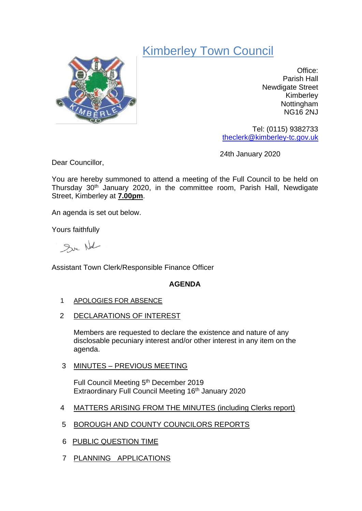# Kimberley Town Council



Office: Parish Hall Newdigate Street Kimberley Nottingham NG16 2NJ

Tel: (0115) 9382733 [theclerk@kimberley-tc.gov.uk](mailto:theclerk@kimberley-tc.gov.uk)

24th January 2020

Dear Councillor,

You are hereby summoned to attend a meeting of the Full Council to be held on Thursday 30th January 2020, in the committee room, Parish Hall, Newdigate Street, Kimberley at **7.00pm**.

An agenda is set out below.

Yours faithfully

Sur Not

Assistant Town Clerk/Responsible Finance Officer

## **AGENDA**

- 1 APOLOGIES FOR ABSENCE
- 2 DECLARATIONS OF INTEREST

Members are requested to declare the existence and nature of any disclosable pecuniary interest and/or other interest in any item on the agenda.

3 MINUTES – PREVIOUS MEETING

Full Council Meeting 5<sup>th</sup> December 2019 Extraordinary Full Council Meeting 16<sup>th</sup> January 2020

- 4 MATTERS ARISING FROM THE MINUTES (including Clerks report)
- 5 BOROUGH AND COUNTY COUNCILORS REPORTS
- 6 PUBLIC QUESTION TIME
- 7 PLANNING APPLICATIONS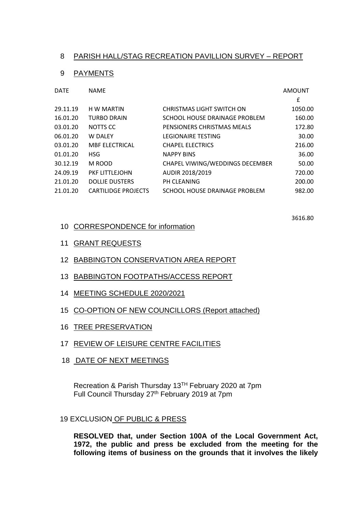### 8 PARISH HALL/STAG RECREATION PAVILLION SURVEY – REPORT

#### 9 PAYMENTS

| <b>DATE</b> | <b>NAME</b>                |                                 | AMOUNT  |
|-------------|----------------------------|---------------------------------|---------|
|             |                            |                                 | £       |
| 29.11.19    | H W MARTIN                 | CHRISTMAS LIGHT SWITCH ON       | 1050.00 |
| 16.01.20    | <b>TURBO DRAIN</b>         | SCHOOL HOUSE DRAINAGE PROBLEM   | 160.00  |
| 03.01.20    | NOTTS CC                   | PENSIONERS CHRISTMAS MEALS      | 172.80  |
| 06.01.20    | W DALEY                    | <b>LEGIONAIRE TESTING</b>       | 30.00   |
| 03.01.20    | <b>MBF ELECTRICAL</b>      | <b>CHAPEL ELECTRICS</b>         | 216.00  |
| 01.01.20    | <b>HSG</b>                 | <b>NAPPY BINS</b>               | 36.00   |
| 30.12.19    | M ROOD                     | CHAPEL VIWING/WEDDINGS DECEMBER | 50.00   |
| 24.09.19    | PKF LITTLEJOHN             | AUDIR 2018/2019                 | 720.00  |
| 21.01.20    | <b>DOLLIE DUSTERS</b>      | PH CLEANING                     | 200.00  |
| 21.01.20    | <b>CARTILIDGE PROJECTS</b> | SCHOOL HOUSE DRAINAGE PROBLEM   | 982.00  |

3616.80

- 10 CORRESPONDENCE for information
- 11 GRANT REQUESTS
- 12 BABBINGTON CONSERVATION AREA REPORT
- 13 BABBINGTON FOOTPATHS/ACCESS REPORT
- 14 MEETING SCHEDULE 2020/2021
- 15 CO-OPTION OF NEW COUNCILLORS (Report attached)
- 16 TREE PRESERVATION
- 17 REVIEW OF LEISURE CENTRE FACILITIES
- 18 DATE OF NEXT MEETINGS

Recreation & Parish Thursday 13TH February 2020 at 7pm Full Council Thursday 27<sup>th</sup> February 2019 at 7pm

#### 19 EXCLUSION OF PUBLIC & PRESS

**RESOLVED that, under Section 100A of the Local Government Act, 1972, the public and press be excluded from the meeting for the following items of business on the grounds that it involves the likely**